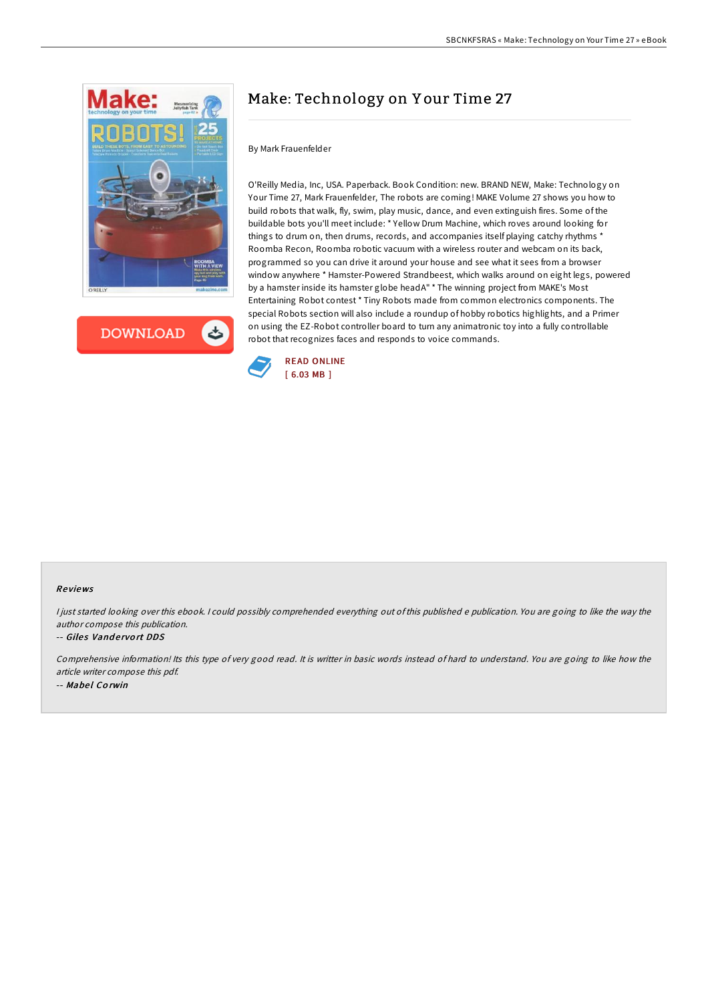

**DOWNLOAD** 

# Make: Technology on Y our Time 27

# By Mark Frauenfelder

O'Reilly Media, Inc, USA. Paperback. Book Condition: new. BRAND NEW, Make: Technology on Your Time 27, Mark Frauenfelder, The robots are coming! MAKE Volume 27 shows you how to build robots that walk, fly, swim, play music, dance, and even extinguish fires. Some of the buildable bots you'll meet include: \* Yellow Drum Machine, which roves around looking for things to drum on, then drums, records, and accompanies itself playing catchy rhythms \* Roomba Recon, Roomba robotic vacuum with a wireless router and webcam on its back, programmed so you can drive it around your house and see what it sees from a browser window anywhere \* Hamster-Powered Strandbeest, which walks around on eight legs, powered by a hamster inside its hamster globe headA" \* The winning project from MAKE's Most Entertaining Robot contest \* Tiny Robots made from common electronics components. The special Robots section will also include a roundup of hobby robotics highlights, and a Primer on using the EZ-Robot controller board to turn any animatronic toy into a fully controllable robot that recognizes faces and responds to voice commands.



## Re views

<sup>I</sup> just started looking over this ebook. <sup>I</sup> could possibly comprehended everything out of this published <sup>e</sup> publication. You are going to like the way the author compose this publication.

#### -- Giles Vandervort DDS

Comprehensive information! Its this type of very good read. It is writter in basic words instead of hard to understand. You are going to like how the article writer compose this pdf. -- Mabel Corwin